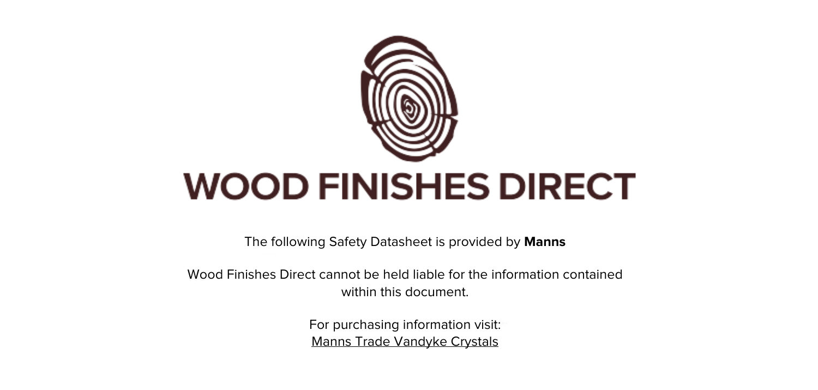

The following Safety Datasheet is provided by **Manns**

Wood Finishes Direct cannot be held liable for the information contained within this document

> For purchasing information visit: [Manns Trade Vandyke Crystals](https://www.wood-finishes-direct.com/product/manns-trade-vandyke-crystals)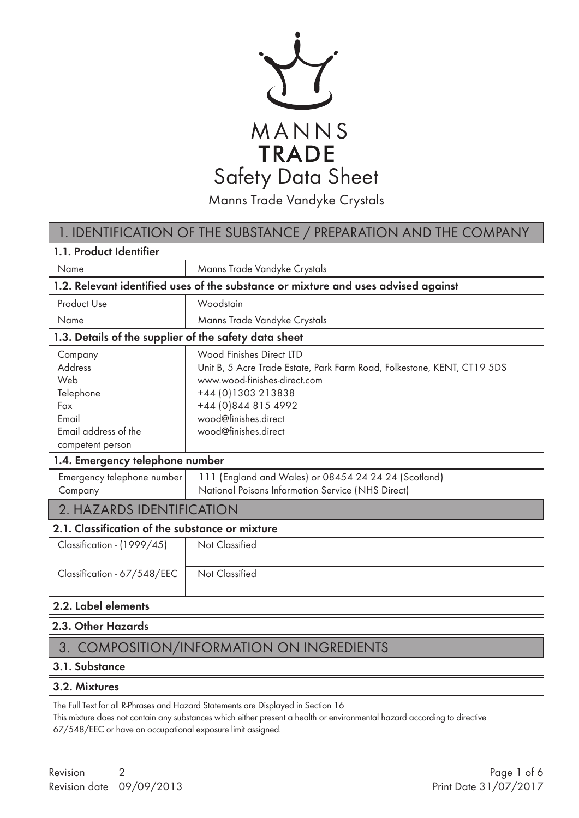

### 1. IDENTIFICATION OF THE SUBSTANCE / PREPARATION AND THE COMPANY

| 1.1. Product Identifier                                                                            |                                                                                                                                                                                                                                   |
|----------------------------------------------------------------------------------------------------|-----------------------------------------------------------------------------------------------------------------------------------------------------------------------------------------------------------------------------------|
| Name                                                                                               | Manns Trade Vandyke Crystals                                                                                                                                                                                                      |
|                                                                                                    | 1.2. Relevant identified uses of the substance or mixture and uses advised against                                                                                                                                                |
| Product Use                                                                                        | Woodstain                                                                                                                                                                                                                         |
| Name                                                                                               | Manns Trade Vandyke Crystals                                                                                                                                                                                                      |
| 1.3. Details of the supplier of the safety data sheet                                              |                                                                                                                                                                                                                                   |
| Company<br>Address<br>Web<br>Telephone<br>Fax<br>Email<br>Email address of the<br>competent person | Wood Finishes Direct LTD<br>Unit B, 5 Acre Trade Estate, Park Farm Road, Folkestone, KENT, CT19 5DS<br>www.wood-finishes-direct.com<br>+44 (0) 1303 213838<br>+44 (0)844 815 4992<br>wood@finishes.direct<br>wood@finishes.direct |
| 1.4. Emergency telephone number                                                                    |                                                                                                                                                                                                                                   |
| Emergency telephone number<br>Company                                                              | 111 (England and Wales) or 08454 24 24 24 (Scotland)<br>National Poisons Information Service (NHS Direct)                                                                                                                         |
| 2. HAZARDS IDENTIFICATION                                                                          |                                                                                                                                                                                                                                   |
| 2.1. Classification of the substance or mixture                                                    |                                                                                                                                                                                                                                   |
| Classification - (1999/45)<br>Classification - 67/548/EEC                                          | <b>Not Classified</b><br>Not Classified                                                                                                                                                                                           |
| 2.2. Label elements                                                                                |                                                                                                                                                                                                                                   |

#### 2.3. Other Hazards

### 3. COMPOSITION/INFORMATION ON INGREDIENTS

#### 3.1. Substance

#### 3.2. Mixtures

The Full Text for all R-Phrases and Hazard Statements are Displayed in Section 16

This mixture does not contain any substances which either present a health or environmental hazard according to directive 67/548/EEC or have an occupational exposure limit assigned.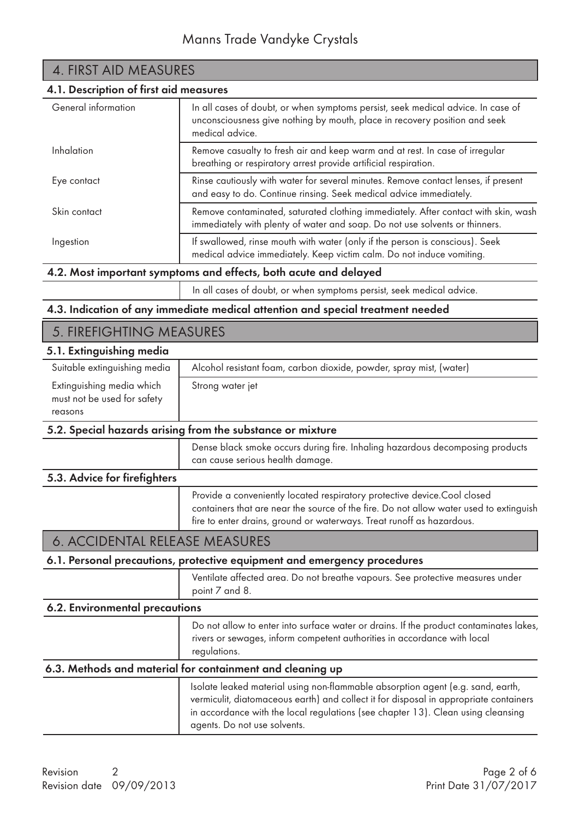| 4. FIRST AID MEASURES<br>4.1. Description of first aid measures |                                                                                                                                                                   |
|-----------------------------------------------------------------|-------------------------------------------------------------------------------------------------------------------------------------------------------------------|
|                                                                 |                                                                                                                                                                   |
| Inhalation                                                      | Remove casualty to fresh air and keep warm and at rest. In case of irregular<br>breathing or respiratory arrest provide artificial respiration.                   |
| Eye contact                                                     | Rinse cautiously with water for several minutes. Remove contact lenses, if present<br>and easy to do. Continue rinsing. Seek medical advice immediately.          |
| Skin contact                                                    | Remove contaminated, saturated clothing immediately. After contact with skin, wash<br>immediately with plenty of water and soap. Do not use solvents or thinners. |
| Ingestion                                                       | If swallowed, rinse mouth with water (only if the person is conscious). Seek<br>medical advice immediately. Keep victim calm. Do not induce vomiting.             |
|                                                                 | 4. On Adventure contracts are constructed affirmed and contracts and delayed                                                                                      |

#### 4.2. Most important symptoms and effects, both acute and delayed

In all cases of doubt, or when symptoms persist, seek medical advice.

#### 4.3. Indication of any immediate medical attention and special treatment needed

### 5. FIREFIGHTING MEASURES

#### 5.1. Extinguishing media

| Suitable extinguishing media<br>Alcohol resistant foam, carbon dioxide, powder, spray mist, (water) |  |
|-----------------------------------------------------------------------------------------------------|--|
| Extinguishing media which<br>Strong water jet<br>must not be used for safety<br>reasons             |  |

#### 5.2. Special hazards arising from the substance or mixture

 Dense black smoke occurs during fire. Inhaling hazardous decomposing products can cause serious health damage.

#### 5.3. Advice for firefighters

 Provide a conveniently located respiratory protective device.Cool closed containers that are near the source of the fire. Do not allow water used to extinguish fire to enter drains, ground or waterways. Treat runoff as hazardous.

## 6. ACCIDENTAL RELEASE MEASURES

#### 6.1. Personal precautions, protective equipment and emergency procedures

 Ventilate affected area. Do not breathe vapours. See protective measures under point 7 and 8.

### Do not allow to enter into surface water or drains. If the product contaminates lakes, 6.2. Environmental precautions

 rivers or sewages, inform competent authorities in accordance with local regulations.

### 6.3. Methods and material for containment and cleaning up

| Isolate leaked material using non-flammable absorption agent (e.g. sand, earth,<br>vermiculit, diatomaceous earth) and collect it for disposal in appropriate containers |
|--------------------------------------------------------------------------------------------------------------------------------------------------------------------------|
| in accordance with the local regulations (see chapter 13). Clean using cleansing<br>agents. Do not use solvents.                                                         |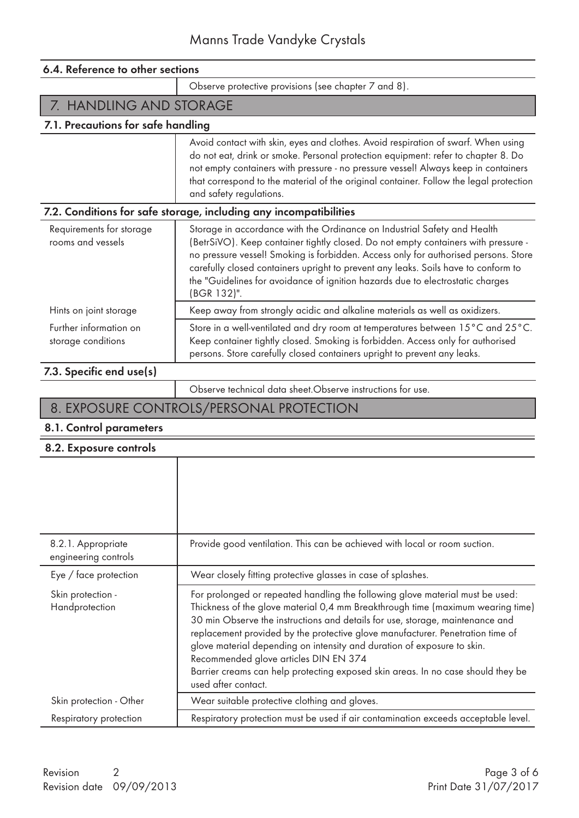| 6.4. Reference to other sections                                  |                                                                                                                                                                                                                                                                                                                                                                                                                                              |
|-------------------------------------------------------------------|----------------------------------------------------------------------------------------------------------------------------------------------------------------------------------------------------------------------------------------------------------------------------------------------------------------------------------------------------------------------------------------------------------------------------------------------|
|                                                                   | Observe protective provisions (see chapter 7 and 8).                                                                                                                                                                                                                                                                                                                                                                                         |
| 7. HANDLING AND STORAGE                                           |                                                                                                                                                                                                                                                                                                                                                                                                                                              |
| 7.1. Precautions for safe handling                                |                                                                                                                                                                                                                                                                                                                                                                                                                                              |
|                                                                   | Avoid contact with skin, eyes and clothes. Avoid respiration of swarf. When using<br>do not eat, drink or smoke. Personal protection equipment: refer to chapter 8. Do<br>not empty containers with pressure - no pressure vessel! Always keep in containers<br>that correspond to the material of the original container. Follow the legal protection<br>and safety regulations.                                                            |
| 7.2. Conditions for safe storage, including any incompatibilities |                                                                                                                                                                                                                                                                                                                                                                                                                                              |
| Requirements for storage<br>rooms and vessels                     | Storage in accordance with the Ordinance on Industrial Safety and Health<br>(BetrSiVO). Keep container tightly closed. Do not empty containers with pressure -<br>no pressure vessel! Smoking is forbidden. Access only for authorised persons. Store<br>carefully closed containers upright to prevent any leaks. Soils have to conform to<br>the "Guidelines for avoidance of ignition hazards due to electrostatic charges<br>(BGR 132)". |
| Hints on joint storage                                            | Keep away from strongly acidic and alkaline materials as well as oxidizers.                                                                                                                                                                                                                                                                                                                                                                  |
| Further information on<br>storage conditions                      | Store in a well-ventilated and dry room at temperatures between 15°C and 25°C.<br>Keep container tightly closed. Smoking is forbidden. Access only for authorised<br>persons. Store carefully closed containers upright to prevent any leaks.                                                                                                                                                                                                |

### 7.3. Specific end use(s)

Observe technical data sheet.Observe instructions for use.

# 8. EXPOSURE CONTROLS/PERSONAL PROTECTION

#### 8.1. Control parameters

#### 8.2. Exposure controls

| 8.2.1. Appropriate<br>engineering controls | Provide good ventilation. This can be achieved with local or room suction.                                                                                                                                                                                                                                                                                                                                                                                                                                                                                         |
|--------------------------------------------|--------------------------------------------------------------------------------------------------------------------------------------------------------------------------------------------------------------------------------------------------------------------------------------------------------------------------------------------------------------------------------------------------------------------------------------------------------------------------------------------------------------------------------------------------------------------|
| Eye / face protection                      | Wear closely fitting protective glasses in case of splashes.                                                                                                                                                                                                                                                                                                                                                                                                                                                                                                       |
| Skin protection -<br>Handprotection        | For prolonged or repeated handling the following glove material must be used:<br>Thickness of the glove material 0,4 mm Breakthrough time (maximum wearing time)<br>30 min Observe the instructions and details for use, storage, maintenance and<br>replacement provided by the protective glove manufacturer. Penetration time of<br>glove material depending on intensity and duration of exposure to skin.<br>Recommended glove articles DIN EN 374<br>Barrier creams can help protecting exposed skin areas. In no case should they be<br>used after contact. |
| Skin protection - Other                    | Wear suitable protective clothing and gloves.                                                                                                                                                                                                                                                                                                                                                                                                                                                                                                                      |
| Respiratory protection                     | Respiratory protection must be used if air contamination exceeds acceptable level.                                                                                                                                                                                                                                                                                                                                                                                                                                                                                 |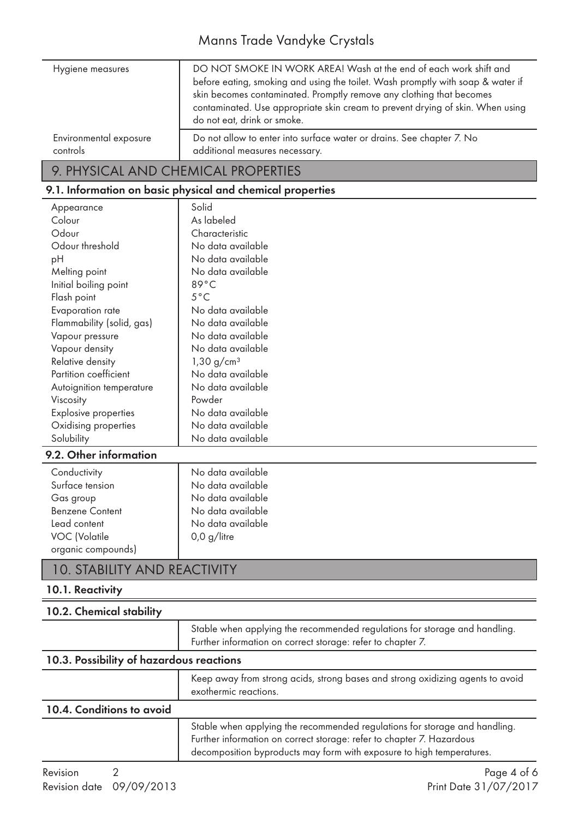# Manns Trade Vandyke Crystals

| Hygiene measures       | DO NOT SMOKE IN WORK AREA! Wash at the end of each work shift and<br>before eating, smoking and using the toilet. Wash promptly with soap & water if<br>skin becomes contaminated. Promptly remove any clothing that becomes<br>contaminated. Use appropriate skin cream to prevent drying of skin. When using<br>do not eat, drink or smoke. |
|------------------------|-----------------------------------------------------------------------------------------------------------------------------------------------------------------------------------------------------------------------------------------------------------------------------------------------------------------------------------------------|
| Environmental exposure | Do not allow to enter into surface water or drains. See chapter 7. No                                                                                                                                                                                                                                                                         |
| controls               | additional measures necessary.                                                                                                                                                                                                                                                                                                                |

# 9. PHYSICAL AND CHEMICAL PROPERTIES

# 9.1. Information on basic physical and chemical properties

| Appearance                  | Solid                  |
|-----------------------------|------------------------|
| Colour                      | As labeled             |
| Odour                       | Characteristic         |
| Odour threshold             | No data available      |
| рH                          | No data available      |
| Melting point               | No data available      |
| Initial boiling point       | $89^{\circ}$ C         |
| Flash point                 | $5^{\circ}$ C          |
| Evaporation rate            | No data available      |
| Flammability (solid, gas)   | No data available      |
| Vapour pressure             | No data available      |
| Vapour density              | No data available      |
| Relative density            | 1,30 g/cm <sup>3</sup> |
| Partition coefficient       | No data available      |
| Autoignition temperature    | No data available      |
| <b>Viscosity</b>            | Powder                 |
| <b>Explosive properties</b> | No data available      |
| Oxidising properties        | No data available      |
| Solubility                  | No data available      |
| 9.2. Other information      |                        |

# 10. STABILITY AND REACTIVITY

### 10.1. Reactivity

| 10.2. Chemical stability                 |                                                                                                                                                     |
|------------------------------------------|-----------------------------------------------------------------------------------------------------------------------------------------------------|
|                                          | Stable when applying the recommended regulations for storage and handling.<br>Further information on correct storage: refer to chapter 7.           |
| 10.3. Possibility of hazardous reactions |                                                                                                                                                     |
|                                          | Keep away from strong acids, strong bases and strong oxidizing agents to avoid<br>exothermic reactions.                                             |
| 10.4. Conditions to avoid                |                                                                                                                                                     |
|                                          | Stable when applying the recommended regulations for storage and handling.<br>Further information on correct storage: refer to chapter 7. Hazardous |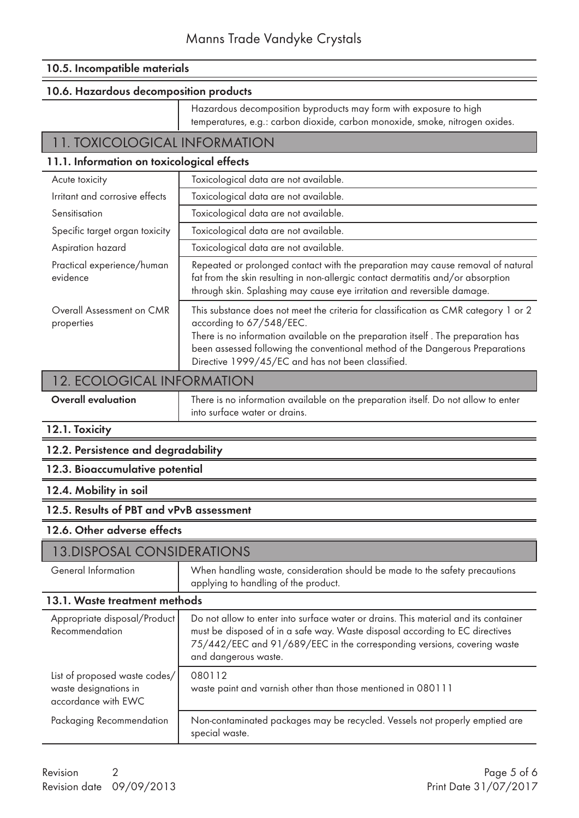#### 10.5. Incompatible materials

#### 10.6. Hazardous decomposition products

 Hazardous decomposition byproducts may form with exposure to high temperatures, e.g.: carbon dioxide, carbon monoxide, smoke, nitrogen oxides.

#### 11. TOXICOLOGICAL INFORMATION

#### 11.1. Information on toxicological effects

| Acute toxicity                          | Toxicological data are not available.                                                                                                                                                                                                                                                                                                     |
|-----------------------------------------|-------------------------------------------------------------------------------------------------------------------------------------------------------------------------------------------------------------------------------------------------------------------------------------------------------------------------------------------|
| Irritant and corrosive effects          | Toxicological data are not available.                                                                                                                                                                                                                                                                                                     |
| Sensitisation                           | Toxicological data are not available.                                                                                                                                                                                                                                                                                                     |
| Specific target organ toxicity          | Toxicological data are not available.                                                                                                                                                                                                                                                                                                     |
| Aspiration hazard                       | Toxicological data are not available.                                                                                                                                                                                                                                                                                                     |
| Practical experience/human<br>evidence  | Repeated or prolonged contact with the preparation may cause removal of natural<br>fat from the skin resulting in non-allergic contact dermatitis and/or absorption<br>through skin. Splashing may cause eye irritation and reversible damage.                                                                                            |
| Overall Assessment on CMR<br>properties | This substance does not meet the criteria for classification as CMR category 1 or 2<br>according to 67/548/EEC.<br>There is no information available on the preparation itself. The preparation has<br>been assessed following the conventional method of the Dangerous Preparations<br>Directive 1999/45/EC and has not been classified. |

### 12. ECOLOGICAL INFORMATION

| <b>Overall evaluation</b> | There is no information available on the preparation itself. Do not allow to enter<br>into surface water or drains. |
|---------------------------|---------------------------------------------------------------------------------------------------------------------|
|                           |                                                                                                                     |

### 12.1. Toxicity

#### 12.2. Persistence and degradability

#### 12.3. Bioaccumulative potential

#### 12.4. Mobility in soil

#### 12.5. Results of PBT and vPvB assessment

#### 12.6. Other adverse effects

### 13.DISPOSAL CONSIDERATIONS

| 13. DISPOSAL CONSIDERATIONS                                                   |                                                                                                                                                                                                                                                                        |
|-------------------------------------------------------------------------------|------------------------------------------------------------------------------------------------------------------------------------------------------------------------------------------------------------------------------------------------------------------------|
| General Information                                                           | When handling waste, consideration should be made to the safety precautions<br>applying to handling of the product.                                                                                                                                                    |
| 13.1. Waste treatment methods                                                 |                                                                                                                                                                                                                                                                        |
| Appropriate disposal/Product<br>Recommendation                                | Do not allow to enter into surface water or drains. This material and its container<br>must be disposed of in a safe way. Waste disposal according to EC directives<br>75/442/EEC and 91/689/EEC in the corresponding versions, covering waste<br>and dangerous waste. |
| List of proposed waste codes/<br>waste designations in<br>accordance with EWC | 080112<br>waste paint and varnish other than those mentioned in 080111                                                                                                                                                                                                 |
| Packaging Recommendation                                                      | Non-contaminated packages may be recycled. Vessels not properly emptied are<br>special waste.                                                                                                                                                                          |